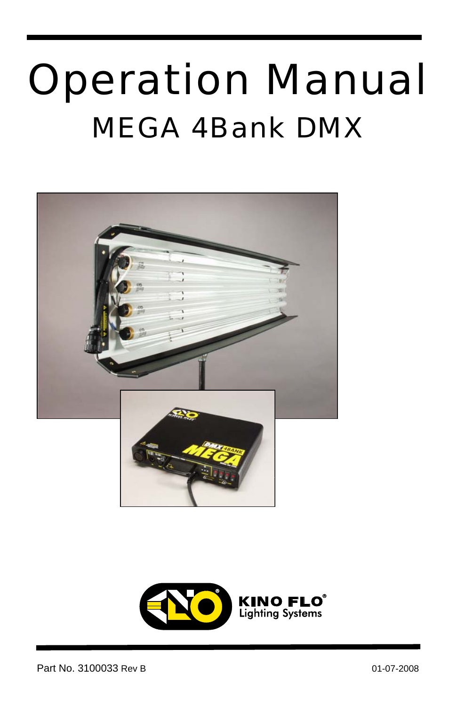# Operation Manual MEGA 4Bank DMX



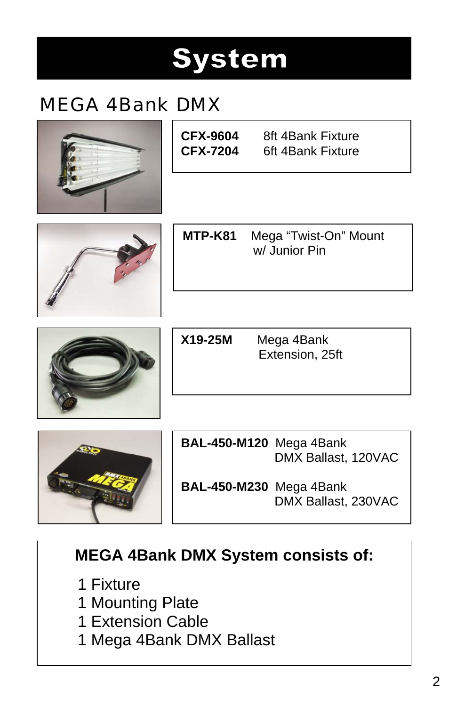## **System**

### MEGA 4Bank DMX







**MTP-K81** Mega "Twist-On" Mount w/ Junior Pin



**X19-25M** Mega 4Bank Extension, 25ft



**BAL-450-M120** Mega 4Bank DMX Ballast, 120VAC

**BAL-450-M230** Mega 4Bank DMX Ballast, 230VAC

### **MEGA 4Bank DMX System consists of:**

- 1 Fixture
- 1 Mounting Plate
- 1 Extension Cable
- 1 Mega 4Bank DMX Ballast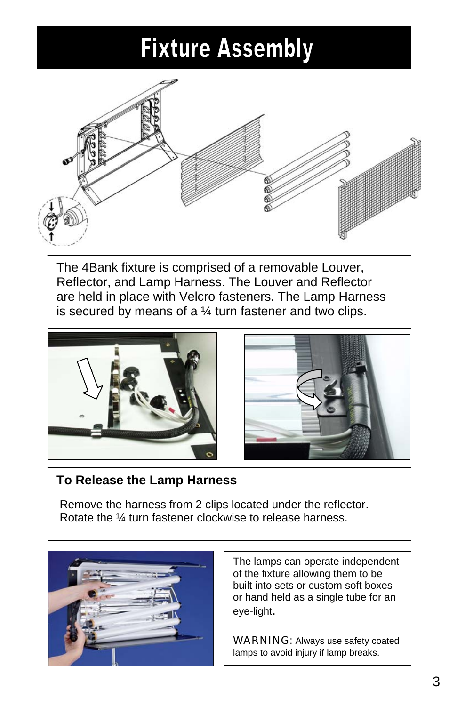### **Fixture Assembly**



The 4Bank fixture is comprised of a removable Louver, Reflector, and Lamp Harness. The Louver and Reflector are held in place with Velcro fasteners. The Lamp Harness is secured by means of a  $\frac{1}{4}$  turn fastener and two clips.





#### **To Release the Lamp Harness**

 Remove the harness from 2 clips located under the reflector. Rotate the ¼ turn fastener clockwise to release harness.



The lamps can operate independent of the fixture allowing them to be built into sets or custom soft boxes or hand held as a single tube for an eye-light.

WARNING: Always use safety coated lamps to avoid injury if lamp breaks.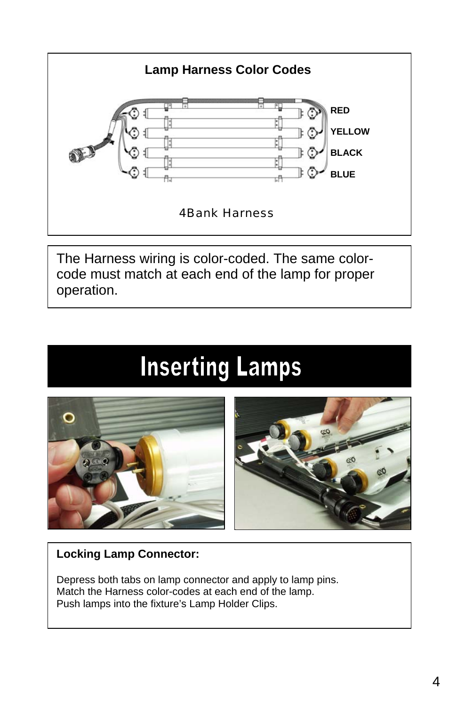

The Harness wiring is color-coded. The same colorcode must match at each end of the lamp for proper operation.

## **Inserting Lamps**



#### **Locking Lamp Connector:**

Depress both tabs on lamp connector and apply to lamp pins. Match the Harness color-codes at each end of the lamp. Push lamps into the fixture's Lamp Holder Clips.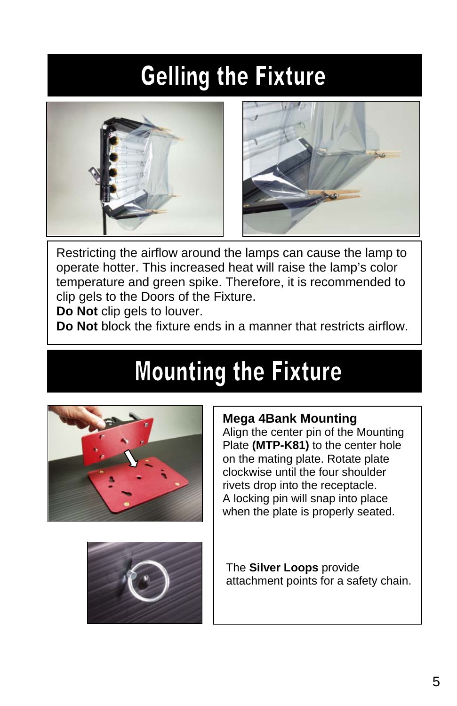### **Gelling the Fixture**



Restricting the airflow around the lamps can cause the lamp to operate hotter. This increased heat will raise the lamp's color temperature and green spike. Therefore, it is recommended to clip gels to the Doors of the Fixture.

**Do Not** clip gels to louver.

**Do Not** block the fixture ends in a manner that restricts airflow.

### **Mounting the Fixture**



### **Mega 4Bank Mounting**

Align the center pin of the Mounting Plate **(MTP-K81)** to the center hole on the mating plate. Rotate plate clockwise until the four shoulder rivets drop into the receptacle. A locking pin will snap into place when the plate is properly seated.



The **Silver Loops** provide attachment points for a safety chain.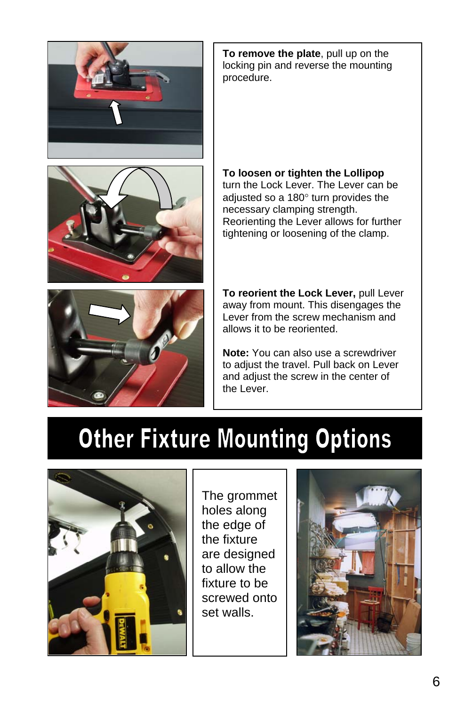





**To remove the plate**, pull up on the locking pin and reverse the mounting procedure.

#### **To loosen or tighten the Lollipop**

turn the Lock Lever. The Lever can be adiusted so a 180° turn provides the necessary clamping strength. Reorienting the Lever allows for further tightening or loosening of the clamp.

**To reorient the Lock Lever,** pull Lever away from mount. This disengages the Lever from the screw mechanism and allows it to be reoriented.

**Note:** You can also use a screwdriver to adjust the travel. Pull back on Lever and adjust the screw in the center of the Lever.

### **Other Fixture Mounting Options**



The grommet holes along the edge of the fixture are designed to allow the fixture to be screwed onto set walls.

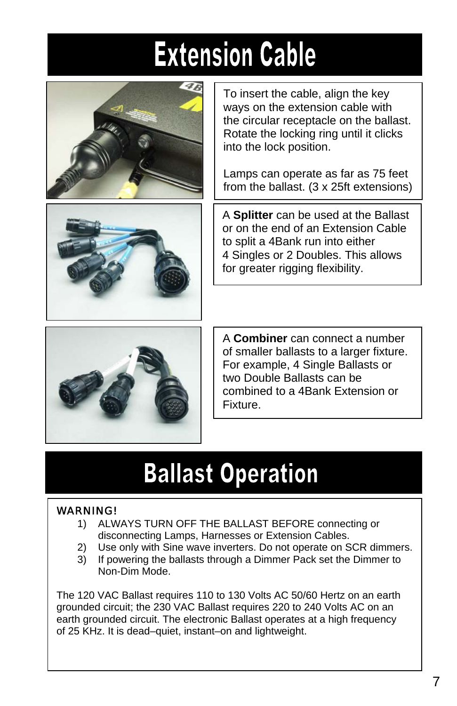# **Extension Cable**





To insert the cable, align the key ways on the extension cable with the circular receptacle on the ballast. Rotate the locking ring until it clicks into the lock position.

Lamps can operate as far as 75 feet from the ballast. (3 x 25ft extensions)

A **Splitter** can be used at the Ballast or on the end of an Extension Cable to split a 4Bank run into either 4 Singles or 2 Doubles. This allows for greater rigging flexibility.



A **Combiner** can connect a number of smaller ballasts to a larger fixture. For example, 4 Single Ballasts or two Double Ballasts can be combined to a 4Bank Extension or Fixture.

### **Ballast Operation**

#### WARNING!

- 1) ALWAYS TURN OFF THE BALLAST BEFORE connecting or disconnecting Lamps, Harnesses or Extension Cables.
- 2) Use only with Sine wave inverters. Do not operate on SCR dimmers.
- 3) If powering the ballasts through a Dimmer Pack set the Dimmer to Non-Dim Mode.

The 120 VAC Ballast requires 110 to 130 Volts AC 50/60 Hertz on an earth grounded circuit; the 230 VAC Ballast requires 220 to 240 Volts AC on an earth grounded circuit. The electronic Ballast operates at a high frequency of 25 KHz. It is dead–quiet, instant–on and lightweight.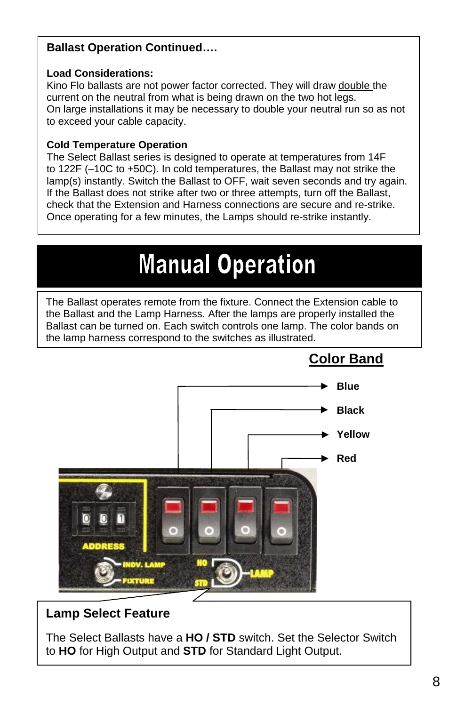#### **Ballast Operation Continued….**

#### **Load Considerations:**

Kino Flo ballasts are not power factor corrected. They will draw double the current on the neutral from what is being drawn on the two hot legs. On large installations it may be necessary to double your neutral run so as not to exceed your cable capacity.

#### **Cold Temperature Operation**

The Select Ballast series is designed to operate at temperatures from 14F to 122F (–10C to +50C). In cold temperatures, the Ballast may not strike the lamp(s) instantly. Switch the Ballast to OFF, wait seven seconds and try again. If the Ballast does not strike after two or three attempts, turn off the Ballast, check that the Extension and Harness connections are secure and re-strike. Once operating for a few minutes, the Lamps should re-strike instantly.

### **Manual Operation**

The Ballast operates remote from the fixture. Connect the Extension cable to the Ballast and the Lamp Harness. After the lamps are properly installed the Ballast can be turned on. Each switch controls one lamp. The color bands on the lamp harness correspond to the switches as illustrated.



### **Color Band**

### **Lamp Select Feature**

The Select Ballasts have a **HO / STD** switch. Set the Selector Switch to **HO** for High Output and **STD** for Standard Light Output.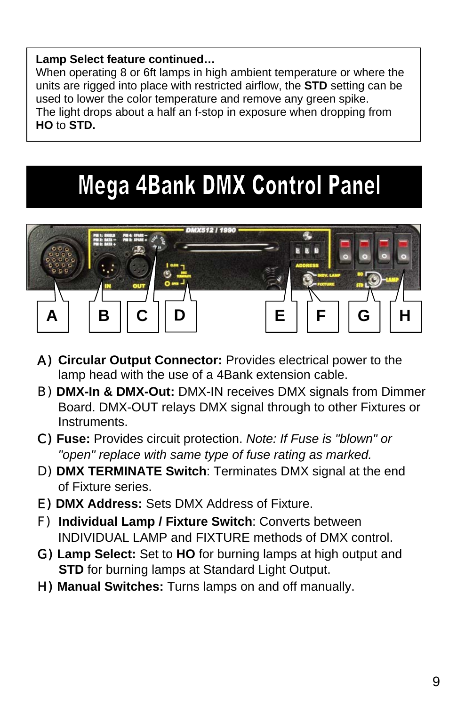#### **Lamp Select feature continued…**

When operating 8 or 6ft lamps in high ambient temperature or where the units are rigged into place with restricted airflow, the **STD** setting can be used to lower the color temperature and remove any green spike. The light drops about a half an f-stop in exposure when dropping from **HO** to **STD.** 

### **Mega 4Bank DMX Control Panel**



- A) **Circular Output Connector:** Provides electrical power to the lamp head with the use of a 4Bank extension cable.
- B) **DMX-In & DMX-Out:** DMX-IN receives DMX signals from Dimmer Board. DMX-OUT relays DMX signal through to other Fixtures or Instruments.
- C) **Fuse:** Provides circuit protection. *Note: If Fuse is "blown" or "open" replace with same type of fuse rating as marked.*
- D) **DMX TERMINATE Switch**: Terminates DMX signal at the end of Fixture series.
- E) **DMX Address:** Sets DMX Address of Fixture.
- F) **Individual Lamp / Fixture Switch**: Converts between INDIVIDUAL LAMP and FIXTURE methods of DMX control.
- G) **Lamp Select:** Set to **HO** for burning lamps at high output and **STD** for burning lamps at Standard Light Output.
- H) **Manual Switches:** Turns lamps on and off manually.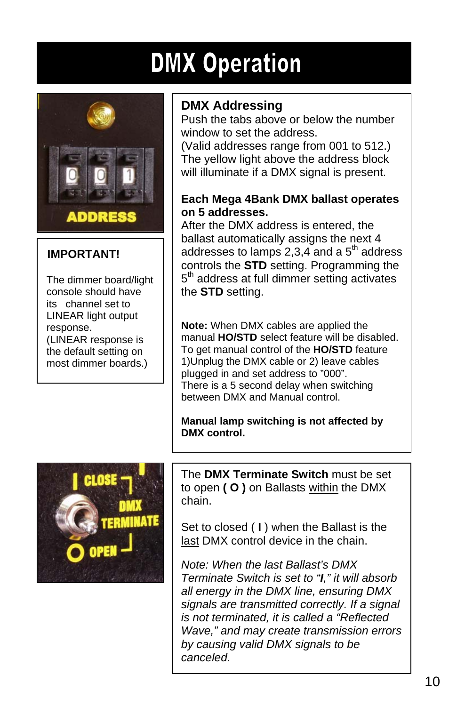### **DMX Operation**



ı

### **IMPORTANT!**

 The dimmer board/light console should have its channel set to LINEAR light output response. (LINEAR response is the default setting on most dimmer boards.)

### **DMX Addressing**

Push the tabs above or below the number window to set the address.

(Valid addresses range from 001 to 512.) The yellow light above the address block will illuminate if a DMX signal is present.

#### **Each Mega 4Bank DMX ballast operates on 5 addresses.**

After the DMX address is entered, the ballast automatically assigns the next 4 addresses to lamps  $2,3,4$  and a  $5<sup>th</sup>$  address controls the **STD** setting. Programming the 5<sup>th</sup> address at full dimmer setting activates the **STD** setting.

**Note:** When DMX cables are applied the manual **HO/STD** select feature will be disabled. To get manual control of the **HO/STD** feature 1)Unplug the DMX cable or 2) leave cables plugged in and set address to "000". There is a 5 second delay when switching between DMX and Manual control.

**Manual lamp switching is not affected by DMX control.** 



The **DMX Terminate Switch** must be set to open **( O )** on Ballasts within the DMX chain.

Set to closed ( **I** ) when the Ballast is the last DMX control device in the chain.

*Note: When the last Ballast's DMX Terminate Switch is set to "I," it will absorb all energy in the DMX line, ensuring DMX signals are transmitted correctly. If a signal is not terminated, it is called a "Reflected Wave," and may create transmission errors by causing valid DMX signals to be canceled.*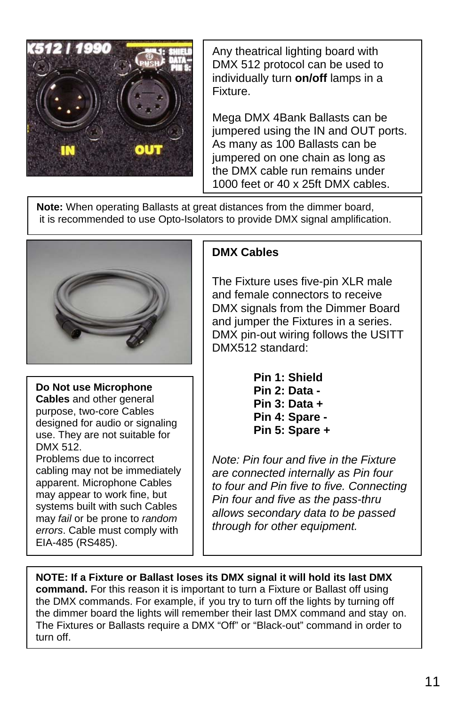

Any theatrical lighting board with DMX 512 protocol can be used to individually turn **on/off** lamps in a Fixture.

Mega DMX 4Bank Ballasts can be jumpered using the IN and OUT ports. As many as 100 Ballasts can be jumpered on one chain as long as the DMX cable run remains under 1000 feet or 40 x 25ft DMX cables.

**Note:** When operating Ballasts at great distances from the dimmer board, it is recommended to use Opto-Isolators to provide DMX signal amplification.



**Do Not use Microphone Cables** and other general purpose, two-core Cables designed for audio or signaling use. They are not suitable for DMX 512. Problems due to incorrect

cabling may not be immediately apparent. Microphone Cables may appear to work fine, but systems built with such Cables may *fail* or be prone to *random errors*. Cable must comply with EIA-485 (RS485).

#### **DMX Cables**

The Fixture uses five-pin XLR male and female connectors to receive DMX signals from the Dimmer Board and jumper the Fixtures in a series. DMX pin-out wiring follows the USITT DMX512 standard:

> **Pin 1: Shield Pin 2: Data - Pin 3: Data + Pin 4: Spare - Pin 5: Spare +**

*Note: Pin four and five in the Fixture are connected internally as Pin four to four and Pin five to five. Connecting Pin four and five as the pass-thru allows secondary data to be passed through for other equipment.*

**NOTE: If a Fixture or Ballast loses its DMX signal it will hold its last DMX command.** For this reason it is important to turn a Fixture or Ballast off using the DMX commands. For example, if you try to turn off the lights by turning off the dimmer board the lights will remember their last DMX command and stay on. The Fixtures or Ballasts require a DMX "Off" or "Black-out" command in order to turn off.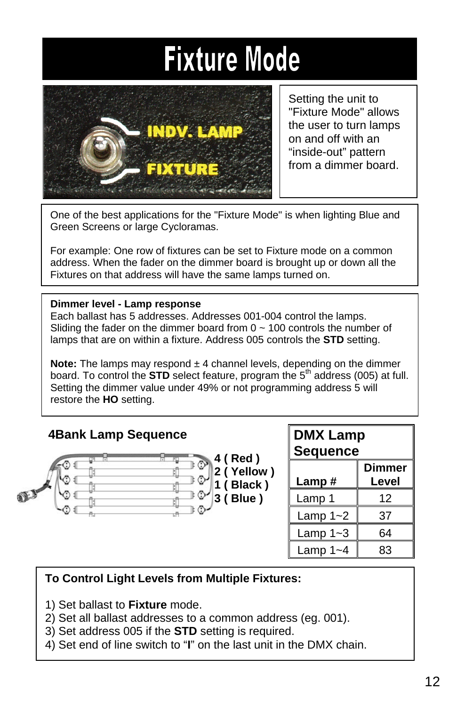## **Fixture Mode**



Setting the unit to "Fixture Mode" allows the user to turn lamps on and off with an "inside-out" pattern from a dimmer board.

One of the best applications for the "Fixture Mode" is when lighting Blue and Green Screens or large Cycloramas.

For example: One row of fixtures can be set to Fixture mode on a common address. When the fader on the dimmer board is brought up or down all the Fixtures on that address will have the same lamps turned on.

#### **Dimmer level - Lamp response**

Each ballast has 5 addresses. Addresses 001-004 control the lamps. Sliding the fader on the dimmer board from  $0 \sim 100$  controls the number of lamps that are on within a fixture. Address 005 controls the **STD** setting.

**Note:** The lamps may respond  $\pm$  4 channel levels, depending on the dimmer board. To control the **STD** select feature, program the 5<sup>th</sup> address (005) at full. Setting the dimmer value under 49% or not programming address 5 will restore the **HO** setting.

#### **4Bank Lamp Sequence**



| <b>DMX Lamp</b> |  |
|-----------------|--|
| <b>Sequence</b> |  |
|                 |  |

| <b>Dimmer</b> |       |
|---------------|-------|
| Lamp#         | Level |
| Lamp 1        | 12    |
| Lamp $1 - 2$  | 37    |
| Lamp $1 - 3$  | 64    |
| Lamp $1 - 4$  | 83    |

#### **To Control Light Levels from Multiple Fixtures:**

- 1) Set ballast to **Fixture** mode.
- 2) Set all ballast addresses to a common address (eg. 001).
- 3) Set address 005 if the **STD** setting is required.
- 4) Set end of line switch to "**I**" on the last unit in the DMX chain.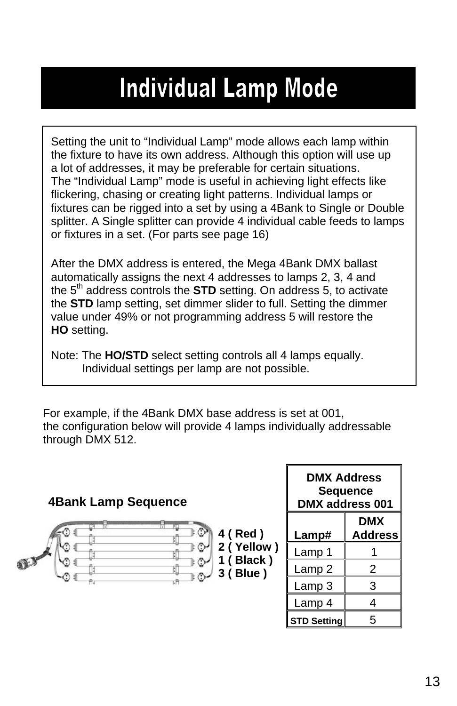### **Individual Lamp Mode**

Setting the unit to "Individual Lamp" mode allows each lamp within the fixture to have its own address. Although this option will use up a lot of addresses, it may be preferable for certain situations. The "Individual Lamp" mode is useful in achieving light effects like flickering, chasing or creating light patterns. Individual lamps or fixtures can be rigged into a set by using a 4Bank to Single or Double splitter. A Single splitter can provide 4 individual cable feeds to lamps or fixtures in a set. (For parts see page 16)

After the DMX address is entered, the Mega 4Bank DMX ballast automatically assigns the next 4 addresses to lamps 2, 3, 4 and the 5<sup>th</sup> address controls the **STD** setting. On address 5, to activate the **STD** lamp setting, set dimmer slider to full. Setting the dimmer value under 49% or not programming address 5 will restore the **HO** setting.

Note: The **HO/STD** select setting controls all 4 lamps equally. Individual settings per lamp are not possible.

For example, if the 4Bank DMX base address is set at 001, the configuration below will provide 4 lamps individually addressable through DMX 512.

| <b>4Bank Lamp Sequence</b>                    | <b>DMX Address</b><br><b>Sequence</b><br>DMX address 001 |                              |
|-----------------------------------------------|----------------------------------------------------------|------------------------------|
| Ħ<br>⊙<br>4 (Red)                             | Lamp#                                                    | <b>DMX</b><br><b>Address</b> |
| 2 (Yellow)<br>া ⊙∙                            | Lamp 1                                                   |                              |
| 1 (Black)<br>⊧⊙≁<br>⊙<br>3 (Blue)<br>t O<br>⊙ | Lamp 2                                                   | 2                            |
|                                               | Lamp 3                                                   |                              |
|                                               | Lamp 4                                                   |                              |
|                                               | <b>STD Setting</b>                                       | 5                            |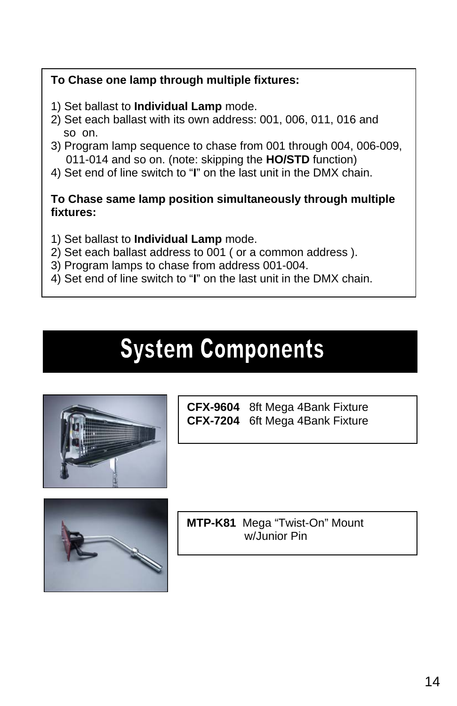#### **To Chase one lamp through multiple fixtures:**

- 1) Set ballast to **Individual Lamp** mode.
- 2) Set each ballast with its own address: 001, 006, 011, 016 and so on.
- 3) Program lamp sequence to chase from 001 through 004, 006-009, 011-014 and so on. (note: skipping the **HO/STD** function)
- 4) Set end of line switch to "**I**" on the last unit in the DMX chain.

#### **To Chase same lamp position simultaneously through multiple fixtures:**

- 1) Set ballast to **Individual Lamp** mode.
- 2) Set each ballast address to 001 ( or a common address ).
- 3) Program lamps to chase from address 001-004.
- 4) Set end of line switch to "**I**" on the last unit in the DMX chain.

### **System Components**



**CFX-9604** 8ft Mega 4Bank Fixture **CFX-7204** 6ft Mega 4Bank Fixture



**MTP-K81** Mega "Twist-On" Mount w/Junior Pin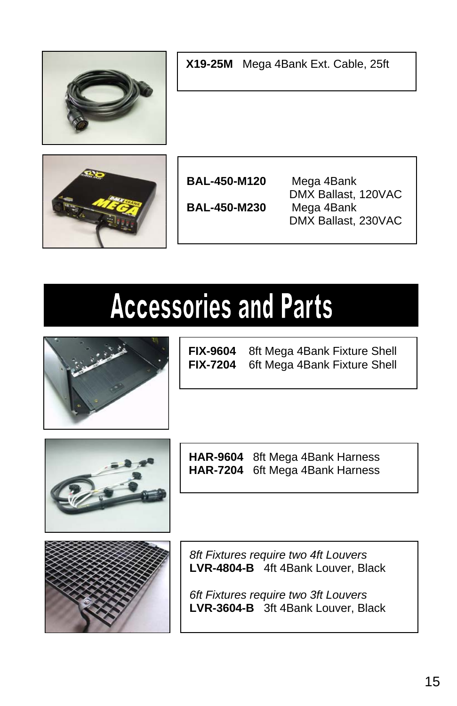| X19-25M Mega 4Bank Ext. Cable, 25ft        |                                                                        |  |
|--------------------------------------------|------------------------------------------------------------------------|--|
| <b>BAL-450-M120</b><br><b>BAL-450-M230</b> | Mega 4Bank<br>DMX Ballast, 120VAC<br>Mega 4Bank<br>DMX Ballast, 230VAC |  |

# **Accessories and Parts**



**FIX-9604** 8ft Mega 4Bank Fixture Shell **FIX-7204** 6ft Mega 4Bank Fixture Shell



**HAR-9604** 8ft Mega 4Bank Harness **HAR-7204** 6ft Mega 4Bank Harness



*8ft Fixtures require two 4ft Louvers*  **LVR-4804-B** 4ft 4Bank Louver, Black

*6ft Fixtures require two 3ft Louvers*  **LVR-3604-B** 3ft 4Bank Louver, Black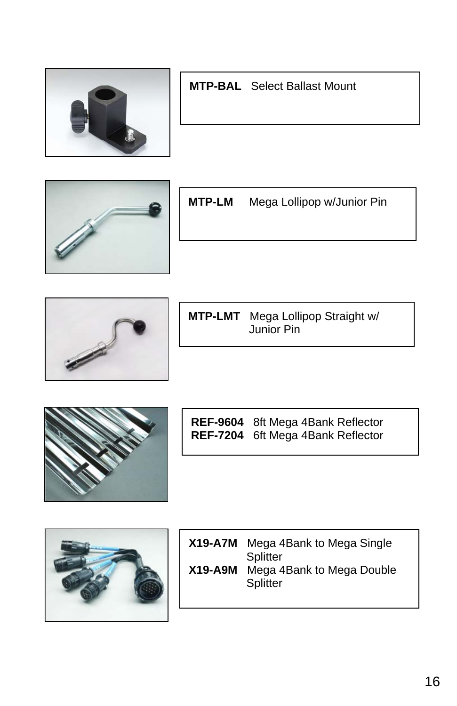

### **MTP-BAL** Select Ballast Mount



**MTP-LM** Mega Lollipop w/Junior Pin



**MTP-LMT** Mega Lollipop Straight w/ Junior Pin



**REF-9604** 8ft Mega 4Bank Reflector **REF-7204** 6ft Mega 4Bank Reflector



| <b>X19-A7M</b> | Mega 4Bank to Mega Single<br>Splitter |
|----------------|---------------------------------------|
| $X19 - A9M$    | Mega 4Bank to Mega Double<br>Splitter |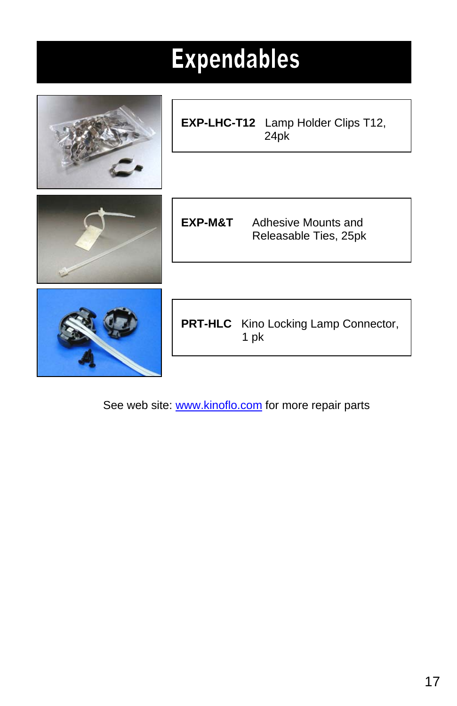| <b>Expendables</b> |                                                     |  |  |
|--------------------|-----------------------------------------------------|--|--|
|                    | EXP-LHC-T12 Lamp Holder Clips T12,<br>24pk          |  |  |
|                    | EXP-M&T<br>Adhesive Mounts and                      |  |  |
|                    | Releasable Ties, 25pk                               |  |  |
|                    | <b>PRT-HLC</b> Kino Locking Lamp Connector,<br>1 pk |  |  |

See web site: www.kinoflo.com for more repair parts

- 1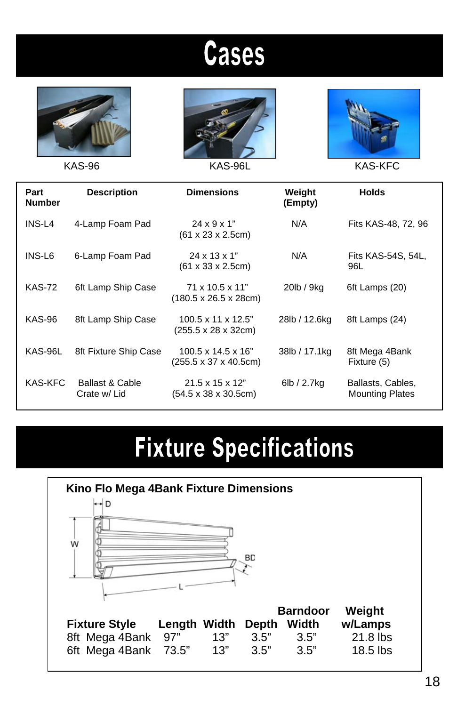## **Cases**







KAS-96 KAS-96L KAS-100 KAS-KFC

| Part<br><b>Number</b> | <b>Description</b>              | <b>Dimensions</b>                                                            | Weight<br>(Empty) | <b>Holds</b>                                |
|-----------------------|---------------------------------|------------------------------------------------------------------------------|-------------------|---------------------------------------------|
| INS-L4                | 4-Lamp Foam Pad                 | $24 \times 9 \times 1$ "<br>$(61 \times 23 \times 2.5 \text{cm})$            | N/A               | Fits KAS-48, 72, 96                         |
| INS-L6                | 6-Lamp Foam Pad                 | $24 \times 13 \times 1$ "<br>$(61 \times 33 \times 2.5 \text{cm})$           | N/A               | Fits KAS-54S, 54L,<br>96L                   |
| <b>KAS-72</b>         | 6ft Lamp Ship Case              | $71 \times 10.5 \times 11$ "<br>$(180.5 \times 26.5 \times 28$ cm)           | 20lb / 9kg        | 6ft Lamps (20)                              |
| <b>KAS-96</b>         | 8ft Lamp Ship Case              | $100.5 \times 11 \times 12.5$ "<br>(255.5 x 28 x 32cm)                       | 28lb / 12.6kg     | 8ft Lamps (24)                              |
| KAS-96L               | 8ft Fixture Ship Case           | $100.5 \times 14.5 \times 16$ "<br>$(255.5 \times 37 \times 40.5 \text{cm})$ | 38lb / 17.1kg     | 8ft Mega 4Bank<br>Fixture (5)               |
| KAS-KFC               | Ballast & Cable<br>Crate w/ Lid | $21.5 \times 15 \times 12$ "<br>$(54.5 \times 38 \times 30.5 \text{cm})$     | 6lb / 2.7kg       | Ballasts, Cables,<br><b>Mounting Plates</b> |

## **Fixture Specifications**

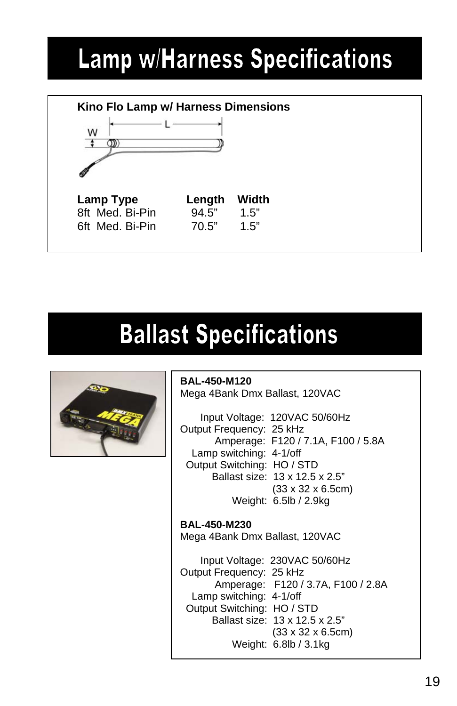### **Lamp w/Harness Specifications**



## **Ballast Specifications**

**BAL-450-M120**



Mega 4Bank Dmx Ballast, 120VAC Input Voltage: 120VAC 50/60Hz Output Frequency: 25 kHz Amperage: F120 / 7.1A, F100 / 5.8A Lamp switching: 4-1/off Output Switching: HO / STD Ballast size: 13 x 12.5 x 2.5" (33 x 32 x 6.5cm) Weight: 6.5lb / 2.9kg

**BAL-450-M230** Mega 4Bank Dmx Ballast, 120VAC Input Voltage: 230VAC 50/60Hz Output Frequency: 25 kHz Amperage: F120 / 3.7A, F100 / 2.8A Lamp switching: 4-1/off Output Switching: HO / STD Ballast size: 13 x 12.5 x 2.5" (33 x 32 x 6.5cm) Weight: 6.8lb / 3.1kg